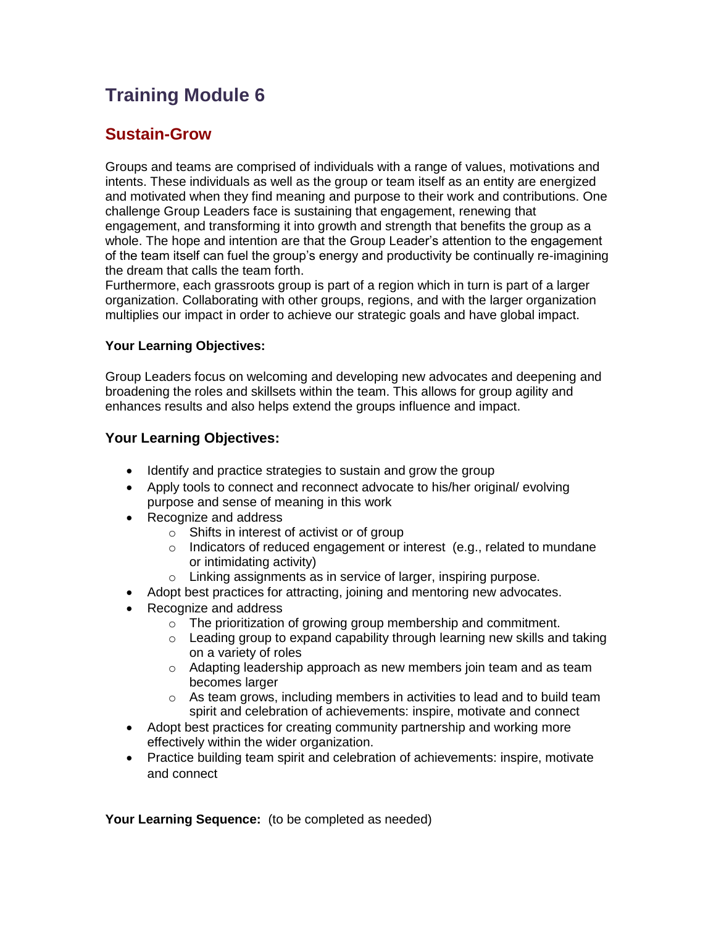## **Training Module 6**

## **Sustain-Grow**

Groups and teams are comprised of individuals with a range of values, motivations and intents. These individuals as well as the group or team itself as an entity are energized and motivated when they find meaning and purpose to their work and contributions. One challenge Group Leaders face is sustaining that engagement, renewing that engagement, and transforming it into growth and strength that benefits the group as a whole. The hope and intention are that the Group Leader's attention to the engagement of the team itself can fuel the group's energy and productivity be continually re-imagining the dream that calls the team forth.

Furthermore, each grassroots group is part of a region which in turn is part of a larger organization. Collaborating with other groups, regions, and with the larger organization multiplies our impact in order to achieve our strategic goals and have global impact.

## **Your Learning Objectives:**

Group Leaders focus on welcoming and developing new advocates and deepening and broadening the roles and skillsets within the team. This allows for group agility and enhances results and also helps extend the groups influence and impact.

## **Your Learning Objectives:**

- Identify and practice strategies to sustain and grow the group
- Apply tools to connect and reconnect advocate to his/her original/ evolving purpose and sense of meaning in this work
- Recognize and address
	- o Shifts in interest of activist or of group
	- o Indicators of reduced engagement or interest (e.g., related to mundane or intimidating activity)
	- o Linking assignments as in service of larger, inspiring purpose.
- Adopt best practices for attracting, joining and mentoring new advocates.
- Recognize and address
	- o The prioritization of growing group membership and commitment.
	- $\circ$  Leading group to expand capability through learning new skills and taking on a variety of roles
	- o Adapting leadership approach as new members join team and as team becomes larger
	- $\circ$  As team grows, including members in activities to lead and to build team spirit and celebration of achievements: inspire, motivate and connect
- Adopt best practices for creating community partnership and working more effectively within the wider organization.
- Practice building team spirit and celebration of achievements: inspire, motivate and connect

**Your Learning Sequence:** (to be completed as needed)